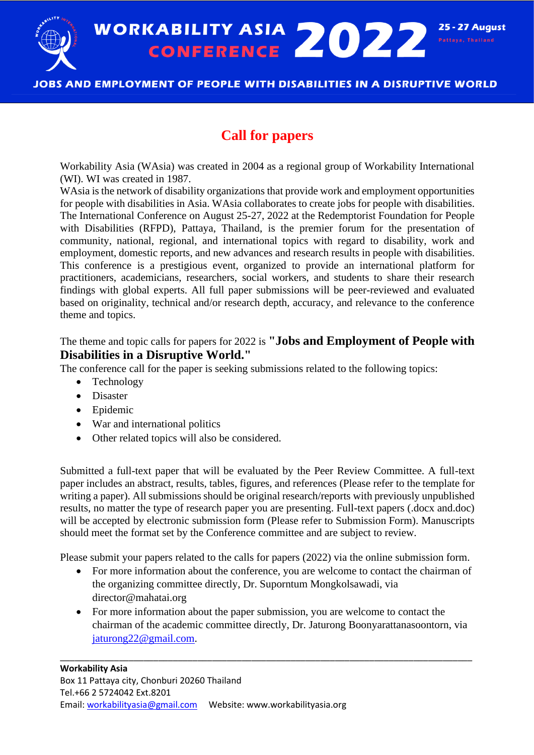WORKABILITY ASIA 2022<sup>25-27 Aug</sup><br>CONFERENCE 2022 **25 - 27 August** 

# JOBS AND EMPLOYMENT OF PEOPLE WITH DISABILITIES IN A DISRUPTIVE WORLD

# **Call for papers**

Workability Asia (WAsia) was created in 2004 as a regional group of Workability International (WI). WI was created in 1987.

WAsia is the network of disability organizations that provide work and employment opportunities for people with disabilities in Asia. WAsia collaborates to create jobs for people with disabilities. The International Conference on August 25-27, 2022 at the Redemptorist Foundation for People with Disabilities (RFPD), Pattaya, Thailand, is the premier forum for the presentation of community, national, regional, and international topics with regard to disability, work and employment, domestic reports, and new advances and research results in people with disabilities. This conference is a prestigious event, organized to provide an international platform for practitioners, academicians, researchers, social workers, and students to share their research findings with global experts. All full paper submissions will be peer-reviewed and evaluated based on originality, technical and/or research depth, accuracy, and relevance to the conference theme and topics.

# The theme and topic calls for papers for 2022 is **"Jobs and Employment of People with Disabilities in a Disruptive World."**

The conference call for the paper is seeking submissions related to the following topics:

- Technology
- Disaster
- Epidemic
- War and international politics
- Other related topics will also be considered.

Submitted a full-text paper that will be evaluated by the Peer Review Committee. A full-text paper includes an abstract, results, tables, figures, and references (Please refer to the template for writing a paper). All submissions should be original research/reports with previously unpublished results, no matter the type of research paper you are presenting. Full-text papers (.docx and.doc) will be accepted by electronic submission form (Please refer to Submission Form). Manuscripts should meet the format set by the Conference committee and are subject to review.

Please submit your papers related to the calls for papers (2022) via the online submission form.

- For more information about the conference, you are welcome to contact the chairman of the organizing committee directly, Dr. Suporntum Mongkolsawadi, via director@mahatai.org
- For more information about the paper submission, you are welcome to contact the chairman of the academic committee directly, Dr. Jaturong Boonyarattanasoontorn, via [jaturong22@gmail.com.](mailto:jaturong22@gmail.com)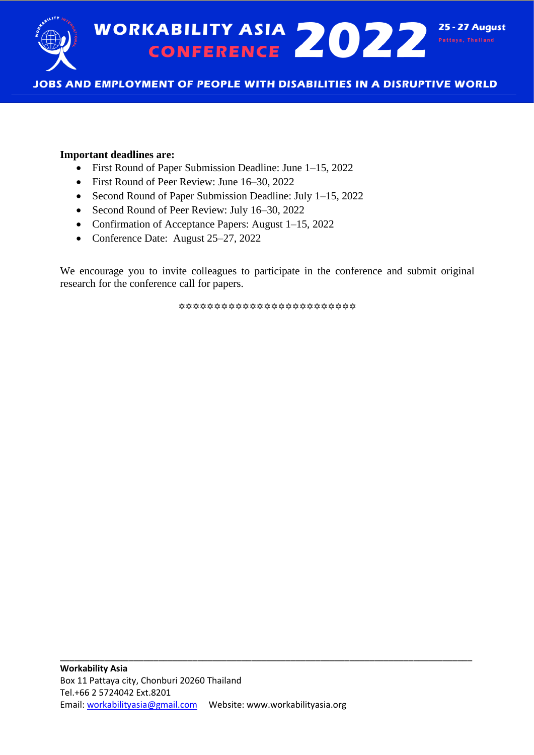

## **Important deadlines are:**

- First Round of Paper Submission Deadline: June 1–15, 2022
- First Round of Peer Review: June 16–30, 2022
- Second Round of Paper Submission Deadline: July 1–15, 2022
- Second Round of Peer Review: July 16–30, 2022
- Confirmation of Acceptance Papers: August 1–15, 2022
- Conference Date: August 25–27, 2022

We encourage you to invite colleagues to participate in the conference and submit original research for the conference call for papers.

\*\*\*\*\*\*\*\*\*\*\*\*\*\*\*\*\*\*\*\*\*\*\*\*\*\*\*\*\*\*\*\*\*\*\*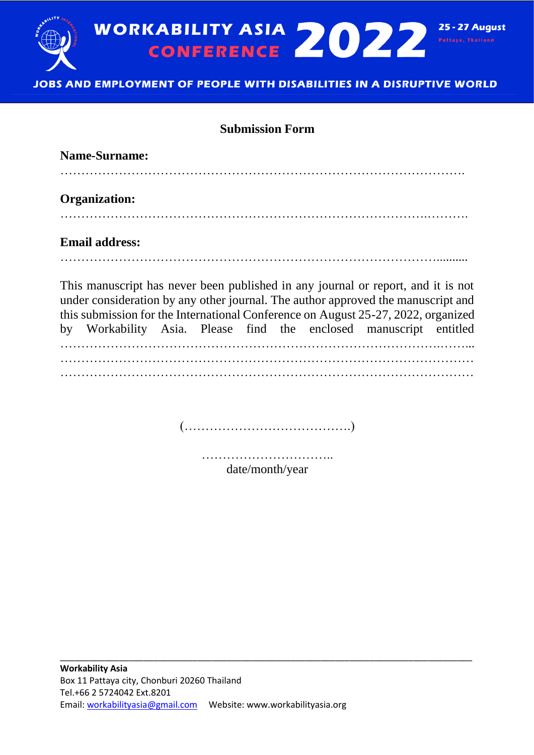

# **Submission Form**

| <b>Name-Surname:</b>  |  |  |                                                                                                                                                                                                                                                           |  |
|-----------------------|--|--|-----------------------------------------------------------------------------------------------------------------------------------------------------------------------------------------------------------------------------------------------------------|--|
| <b>Organization:</b>  |  |  |                                                                                                                                                                                                                                                           |  |
| <b>Email address:</b> |  |  |                                                                                                                                                                                                                                                           |  |
|                       |  |  | This manuscript has never been published in any journal or report, and it is not<br>under consideration by any other journal. The author approved the manuscript and<br>this submission for the International Conference on August 25-27, 2022, organized |  |
|                       |  |  | by Workability Asia. Please find the enclosed manuscript entitled                                                                                                                                                                                         |  |

……………………………………………………………………………….……... ……………………………………………………………………………………… ………………………………………………………………………………………

(………………………………….)

………………………….. date/month/year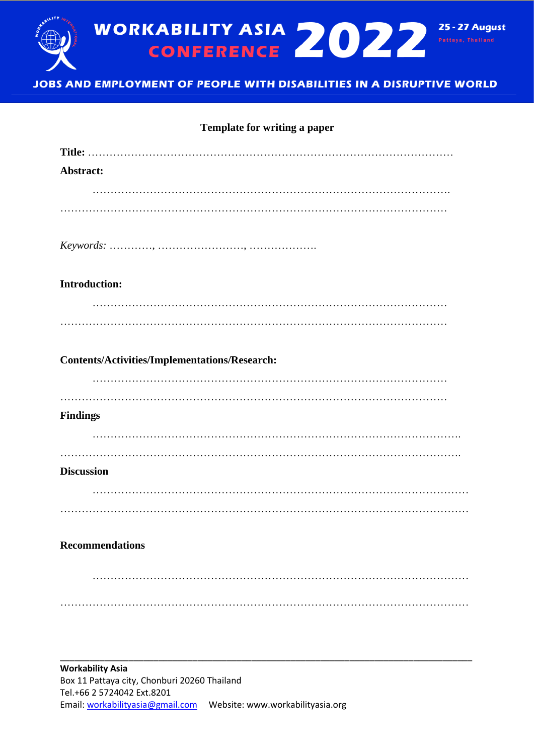

#### **Template for writing a paper**

| Abstract:                                            |  |  |  |  |  |  |
|------------------------------------------------------|--|--|--|--|--|--|
|                                                      |  |  |  |  |  |  |
|                                                      |  |  |  |  |  |  |
|                                                      |  |  |  |  |  |  |
| <b>Introduction:</b>                                 |  |  |  |  |  |  |
|                                                      |  |  |  |  |  |  |
|                                                      |  |  |  |  |  |  |
| <b>Contents/Activities/Implementations/Research:</b> |  |  |  |  |  |  |
|                                                      |  |  |  |  |  |  |
|                                                      |  |  |  |  |  |  |
| <b>Findings</b>                                      |  |  |  |  |  |  |
|                                                      |  |  |  |  |  |  |
|                                                      |  |  |  |  |  |  |
| <b>Discussion</b>                                    |  |  |  |  |  |  |
|                                                      |  |  |  |  |  |  |
|                                                      |  |  |  |  |  |  |
| <b>Recommendations</b>                               |  |  |  |  |  |  |
|                                                      |  |  |  |  |  |  |
|                                                      |  |  |  |  |  |  |